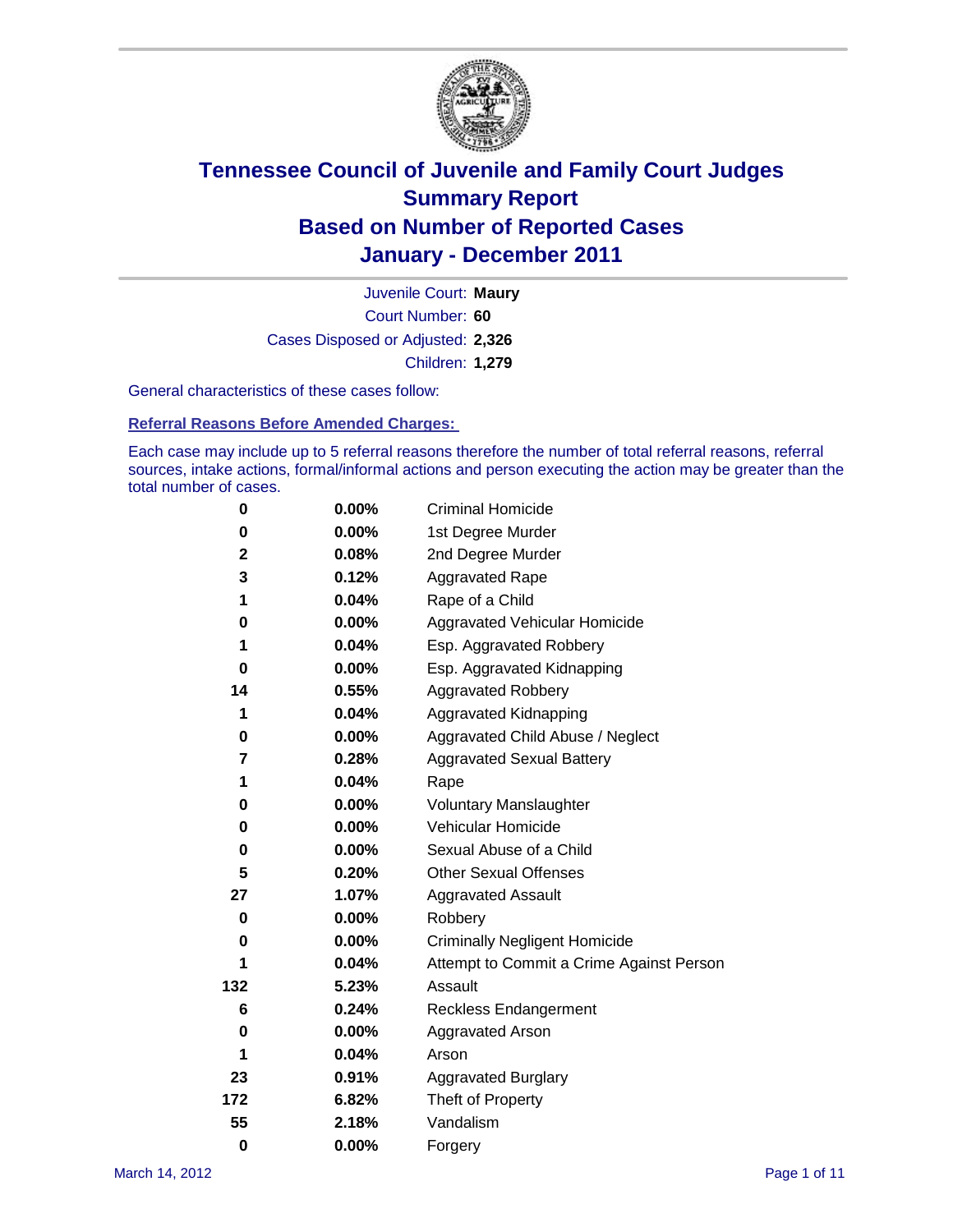

Court Number: **60** Juvenile Court: **Maury** Cases Disposed or Adjusted: **2,326** Children: **1,279**

General characteristics of these cases follow:

**Referral Reasons Before Amended Charges:** 

Each case may include up to 5 referral reasons therefore the number of total referral reasons, referral sources, intake actions, formal/informal actions and person executing the action may be greater than the total number of cases.

| 0            | $0.00\%$ | <b>Criminal Homicide</b>                 |
|--------------|----------|------------------------------------------|
| 0            | 0.00%    | 1st Degree Murder                        |
| $\mathbf{2}$ | 0.08%    | 2nd Degree Murder                        |
| 3            | 0.12%    | <b>Aggravated Rape</b>                   |
| 1            | 0.04%    | Rape of a Child                          |
| 0            | 0.00%    | Aggravated Vehicular Homicide            |
| 1            | 0.04%    | Esp. Aggravated Robbery                  |
| 0            | 0.00%    | Esp. Aggravated Kidnapping               |
| 14           | 0.55%    | <b>Aggravated Robbery</b>                |
| 1            | 0.04%    | Aggravated Kidnapping                    |
| 0            | 0.00%    | Aggravated Child Abuse / Neglect         |
| 7            | 0.28%    | <b>Aggravated Sexual Battery</b>         |
| 1            | 0.04%    | Rape                                     |
| 0            | $0.00\%$ | <b>Voluntary Manslaughter</b>            |
| 0            | 0.00%    | Vehicular Homicide                       |
| 0            | 0.00%    | Sexual Abuse of a Child                  |
| 5            | 0.20%    | <b>Other Sexual Offenses</b>             |
| 27           | 1.07%    | <b>Aggravated Assault</b>                |
| 0            | 0.00%    | Robbery                                  |
| 0            | $0.00\%$ | <b>Criminally Negligent Homicide</b>     |
| 1            | 0.04%    | Attempt to Commit a Crime Against Person |
| 132          | 5.23%    | Assault                                  |
| 6            | 0.24%    | <b>Reckless Endangerment</b>             |
| 0            | $0.00\%$ | <b>Aggravated Arson</b>                  |
| 1            | 0.04%    | Arson                                    |
| 23           | 0.91%    | <b>Aggravated Burglary</b>               |
| 172          | 6.82%    | Theft of Property                        |
| 55           | 2.18%    | Vandalism                                |
| $\bf{0}$     | 0.00%    | Forgery                                  |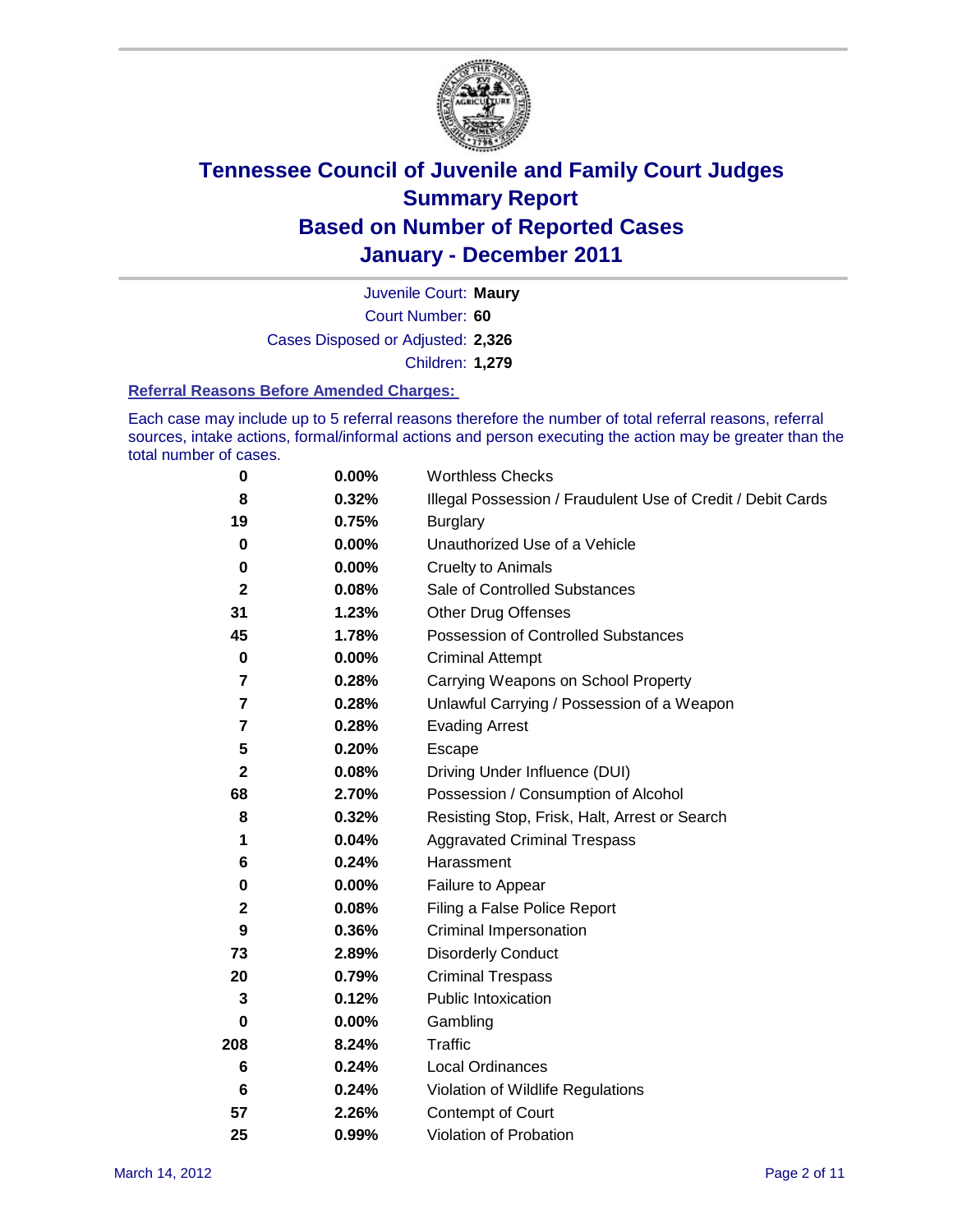

Court Number: **60** Juvenile Court: **Maury** Cases Disposed or Adjusted: **2,326** Children: **1,279**

#### **Referral Reasons Before Amended Charges:**

Each case may include up to 5 referral reasons therefore the number of total referral reasons, referral sources, intake actions, formal/informal actions and person executing the action may be greater than the total number of cases.

| $\pmb{0}$    | 0.00%    | <b>Worthless Checks</b>                                     |
|--------------|----------|-------------------------------------------------------------|
| 8            | 0.32%    | Illegal Possession / Fraudulent Use of Credit / Debit Cards |
| 19           | 0.75%    | <b>Burglary</b>                                             |
| $\mathbf 0$  | $0.00\%$ | Unauthorized Use of a Vehicle                               |
| 0            | $0.00\%$ | <b>Cruelty to Animals</b>                                   |
| $\mathbf{2}$ | 0.08%    | Sale of Controlled Substances                               |
| 31           | 1.23%    | <b>Other Drug Offenses</b>                                  |
| 45           | 1.78%    | Possession of Controlled Substances                         |
| $\pmb{0}$    | $0.00\%$ | <b>Criminal Attempt</b>                                     |
| 7            | 0.28%    | Carrying Weapons on School Property                         |
| 7            | 0.28%    | Unlawful Carrying / Possession of a Weapon                  |
| 7            | 0.28%    | <b>Evading Arrest</b>                                       |
| 5            | 0.20%    | Escape                                                      |
| 2            | 0.08%    | Driving Under Influence (DUI)                               |
| 68           | 2.70%    | Possession / Consumption of Alcohol                         |
| 8            | 0.32%    | Resisting Stop, Frisk, Halt, Arrest or Search               |
| 1            | 0.04%    | <b>Aggravated Criminal Trespass</b>                         |
| 6            | 0.24%    | Harassment                                                  |
| 0            | 0.00%    | Failure to Appear                                           |
| $\mathbf 2$  | 0.08%    | Filing a False Police Report                                |
| 9            | 0.36%    | Criminal Impersonation                                      |
| 73           | 2.89%    | <b>Disorderly Conduct</b>                                   |
| 20           | 0.79%    | <b>Criminal Trespass</b>                                    |
| 3            | 0.12%    | <b>Public Intoxication</b>                                  |
| 0            | $0.00\%$ | Gambling                                                    |
| 208          | 8.24%    | <b>Traffic</b>                                              |
| 6            | 0.24%    | Local Ordinances                                            |
| 6            | 0.24%    | Violation of Wildlife Regulations                           |
| 57           | 2.26%    | Contempt of Court                                           |
| 25           | 0.99%    | Violation of Probation                                      |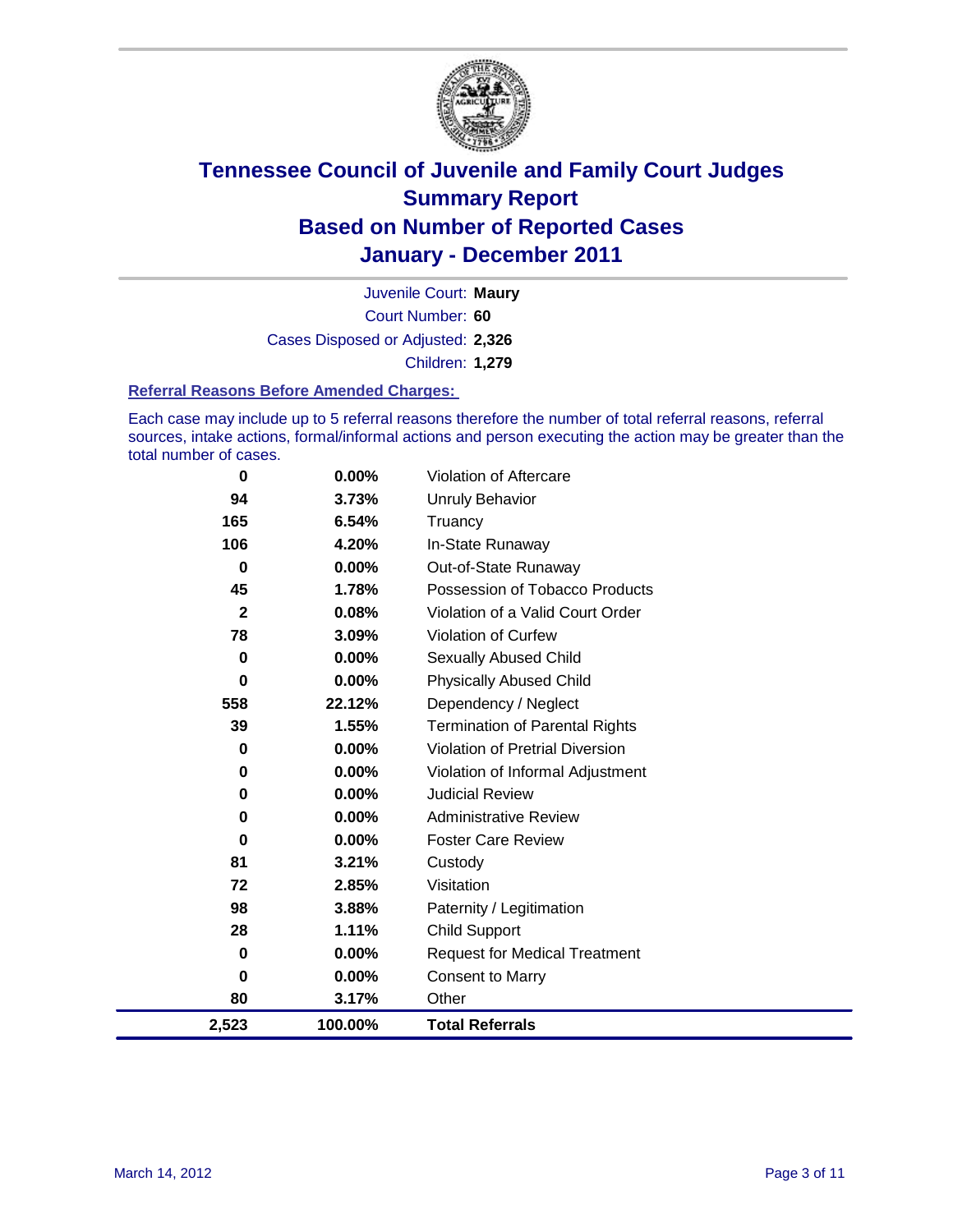

Court Number: **60** Juvenile Court: **Maury** Cases Disposed or Adjusted: **2,326** Children: **1,279**

#### **Referral Reasons Before Amended Charges:**

Each case may include up to 5 referral reasons therefore the number of total referral reasons, referral sources, intake actions, formal/informal actions and person executing the action may be greater than the total number of cases.

| 0              | 0.00%   | Violation of Aftercare                 |
|----------------|---------|----------------------------------------|
| 94             | 3.73%   | <b>Unruly Behavior</b>                 |
| 165            | 6.54%   | Truancy                                |
| 106            | 4.20%   | In-State Runaway                       |
| 0              | 0.00%   | Out-of-State Runaway                   |
| 45             | 1.78%   | Possession of Tobacco Products         |
| $\overline{2}$ | 0.08%   | Violation of a Valid Court Order       |
| 78             | 3.09%   | Violation of Curfew                    |
| $\mathbf 0$    | 0.00%   | Sexually Abused Child                  |
| $\mathbf 0$    | 0.00%   | <b>Physically Abused Child</b>         |
| 558            | 22.12%  | Dependency / Neglect                   |
| 39             | 1.55%   | <b>Termination of Parental Rights</b>  |
| $\bf{0}$       | 0.00%   | <b>Violation of Pretrial Diversion</b> |
| 0              | 0.00%   | Violation of Informal Adjustment       |
| 0              | 0.00%   | <b>Judicial Review</b>                 |
| 0              | 0.00%   | <b>Administrative Review</b>           |
| 0              | 0.00%   | <b>Foster Care Review</b>              |
| 81             | 3.21%   | Custody                                |
| 72             | 2.85%   | Visitation                             |
| 98             | 3.88%   | Paternity / Legitimation               |
| 28             | 1.11%   | <b>Child Support</b>                   |
| $\mathbf 0$    | 0.00%   | <b>Request for Medical Treatment</b>   |
| 0              | 0.00%   | Consent to Marry                       |
| 80             | 3.17%   | Other                                  |
| 2,523          | 100.00% | <b>Total Referrals</b>                 |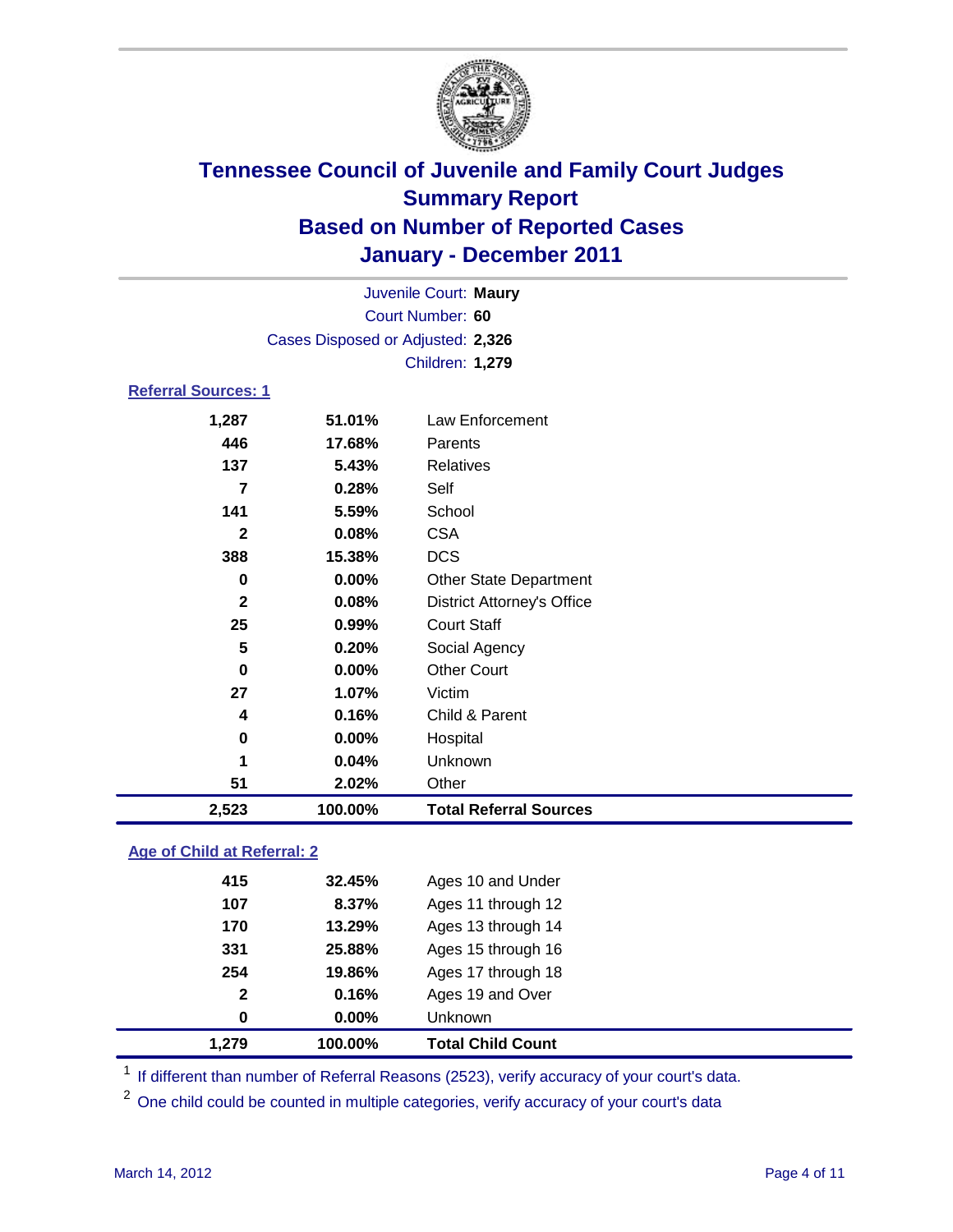

| Juvenile Court: Maury              |          |                                   |  |  |
|------------------------------------|----------|-----------------------------------|--|--|
| Court Number: 60                   |          |                                   |  |  |
| Cases Disposed or Adjusted: 2,326  |          |                                   |  |  |
|                                    |          | Children: 1,279                   |  |  |
| <b>Referral Sources: 1</b>         |          |                                   |  |  |
| 1,287                              | 51.01%   | <b>Law Enforcement</b>            |  |  |
| 446                                | 17.68%   | Parents                           |  |  |
| 137                                | 5.43%    | <b>Relatives</b>                  |  |  |
| $\overline{7}$                     | 0.28%    | Self                              |  |  |
| 141                                | 5.59%    | School                            |  |  |
| $\mathbf{2}$                       | 0.08%    | <b>CSA</b>                        |  |  |
| 388                                | 15.38%   | <b>DCS</b>                        |  |  |
| 0                                  | 0.00%    | <b>Other State Department</b>     |  |  |
| $\mathbf{2}$                       | 0.08%    | <b>District Attorney's Office</b> |  |  |
| 25                                 | 0.99%    | <b>Court Staff</b>                |  |  |
| 5                                  | 0.20%    | Social Agency                     |  |  |
| 0                                  | 0.00%    | <b>Other Court</b>                |  |  |
| 27                                 | 1.07%    | Victim                            |  |  |
| 4                                  | 0.16%    | Child & Parent                    |  |  |
| 0                                  | $0.00\%$ | Hospital                          |  |  |
| 1                                  | 0.04%    | Unknown                           |  |  |
| 51                                 | 2.02%    | Other                             |  |  |
| 2,523                              | 100.00%  | <b>Total Referral Sources</b>     |  |  |
| <b>Age of Child at Referral: 2</b> |          |                                   |  |  |

| 1.279 | 100.00%               | <b>Total Child Count</b> |
|-------|-----------------------|--------------------------|
|       | $0.00\%$<br>0         | <b>Unknown</b>           |
|       | 0.16%<br>$\mathbf{2}$ | Ages 19 and Over         |
| 254   | 19.86%                | Ages 17 through 18       |
| 331   | 25.88%                | Ages 15 through 16       |
| 170   | 13.29%                | Ages 13 through 14       |
| 107   | 8.37%                 | Ages 11 through 12       |
| 415   | 32.45%                | Ages 10 and Under        |
|       |                       |                          |

<sup>1</sup> If different than number of Referral Reasons (2523), verify accuracy of your court's data.

One child could be counted in multiple categories, verify accuracy of your court's data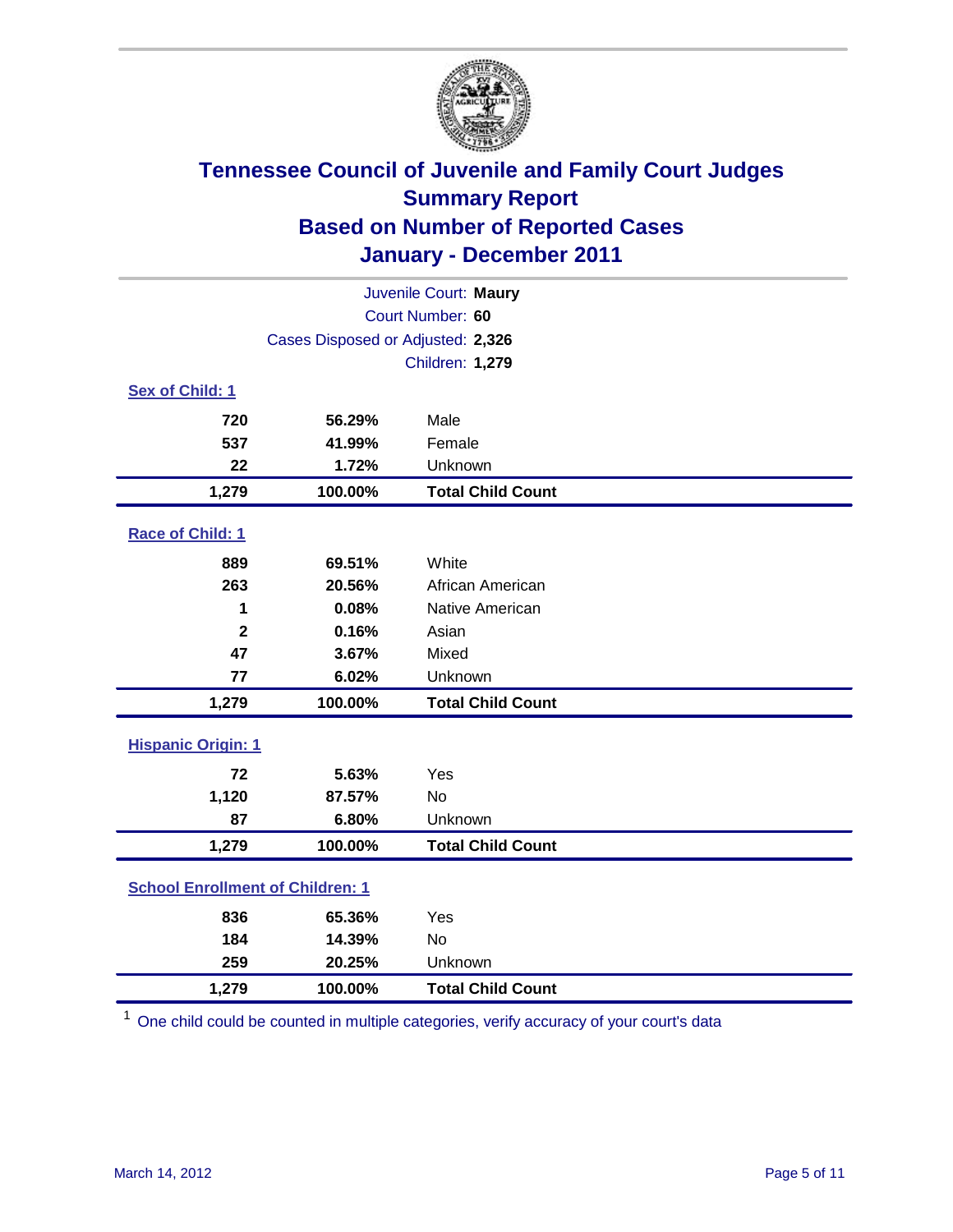

| Juvenile Court: Maury                   |                                   |                          |  |  |
|-----------------------------------------|-----------------------------------|--------------------------|--|--|
| Court Number: 60                        |                                   |                          |  |  |
|                                         | Cases Disposed or Adjusted: 2,326 |                          |  |  |
|                                         |                                   | Children: 1,279          |  |  |
| Sex of Child: 1                         |                                   |                          |  |  |
| 720                                     | 56.29%                            | Male                     |  |  |
| 537                                     | 41.99%                            | Female                   |  |  |
| 22                                      | 1.72%                             | Unknown                  |  |  |
| 1,279                                   | 100.00%                           | <b>Total Child Count</b> |  |  |
| Race of Child: 1                        |                                   |                          |  |  |
| 889                                     | 69.51%                            | White                    |  |  |
| 263                                     | 20.56%                            | African American         |  |  |
| 1                                       | 0.08%                             | Native American          |  |  |
| $\mathbf{2}$                            | 0.16%                             | Asian                    |  |  |
| 47                                      | 3.67%                             | Mixed                    |  |  |
| 77                                      | 6.02%                             | Unknown                  |  |  |
| 1,279                                   | 100.00%                           | <b>Total Child Count</b> |  |  |
| <b>Hispanic Origin: 1</b>               |                                   |                          |  |  |
| 72                                      | 5.63%                             | Yes                      |  |  |
| 1,120                                   | 87.57%                            | <b>No</b>                |  |  |
| 87                                      | 6.80%                             | Unknown                  |  |  |
| 1,279                                   | 100.00%                           | <b>Total Child Count</b> |  |  |
| <b>School Enrollment of Children: 1</b> |                                   |                          |  |  |
| 836                                     | 65.36%                            | Yes                      |  |  |
| 184                                     | 14.39%                            | <b>No</b>                |  |  |
| 259                                     | 20.25%                            | Unknown                  |  |  |
| 1,279                                   | 100.00%                           | <b>Total Child Count</b> |  |  |

<sup>1</sup> One child could be counted in multiple categories, verify accuracy of your court's data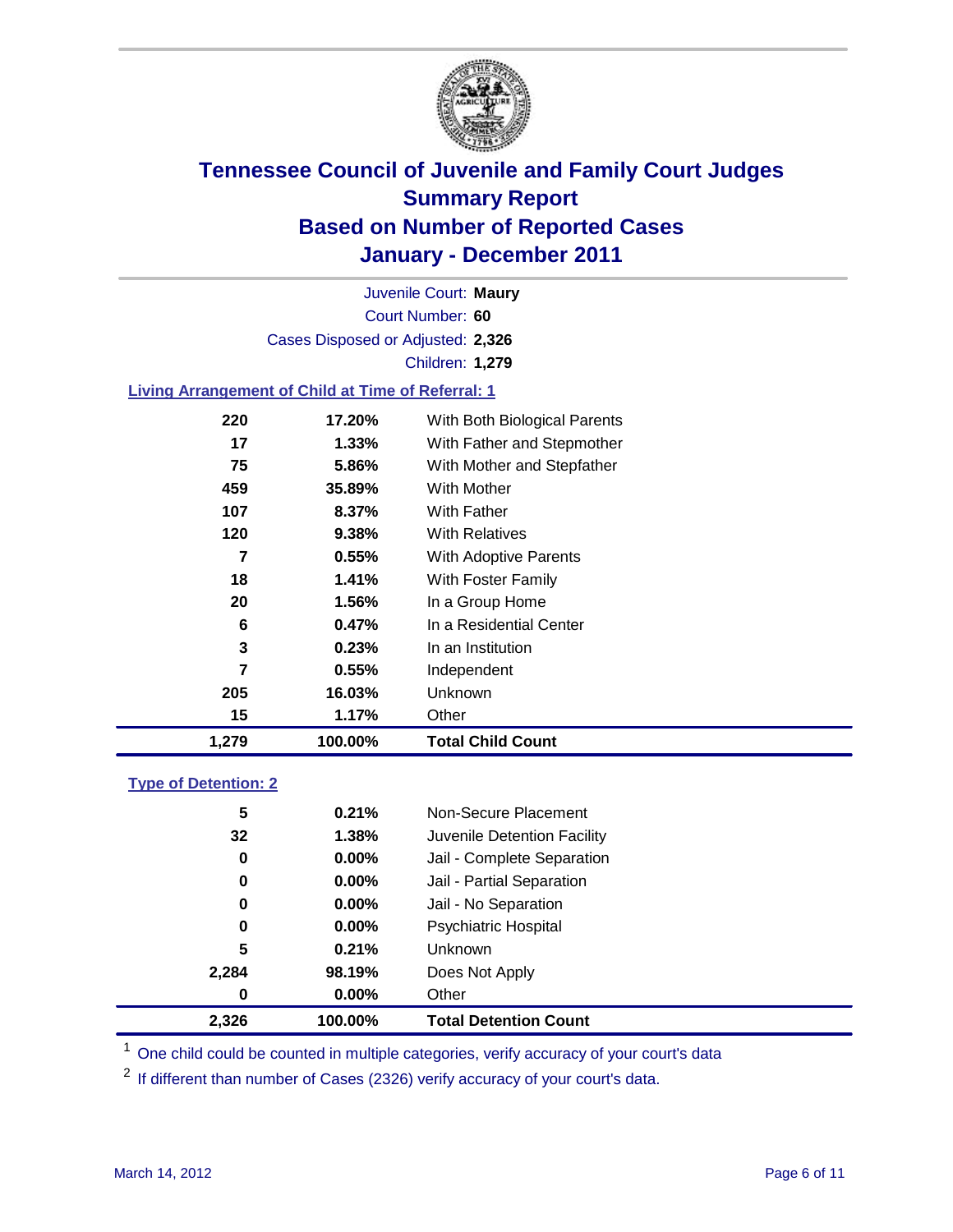

Court Number: **60** Juvenile Court: **Maury** Cases Disposed or Adjusted: **2,326** Children: **1,279**

### **Living Arrangement of Child at Time of Referral: 1**

| 1,279          | 100.00% | <b>Total Child Count</b>     |  |
|----------------|---------|------------------------------|--|
| 15             | 1.17%   | Other                        |  |
| 205            | 16.03%  | Unknown                      |  |
| $\overline{7}$ | 0.55%   | Independent                  |  |
| 3              | 0.23%   | In an Institution            |  |
| 6              | 0.47%   | In a Residential Center      |  |
| 20             | 1.56%   | In a Group Home              |  |
| 18             | 1.41%   | With Foster Family           |  |
| 7              | 0.55%   | <b>With Adoptive Parents</b> |  |
| 120            | 9.38%   | <b>With Relatives</b>        |  |
| 107            | 8.37%   | With Father                  |  |
| 459            | 35.89%  | With Mother                  |  |
| 75             | 5.86%   | With Mother and Stepfather   |  |
| 17             | 1.33%   | With Father and Stepmother   |  |
| 220            | 17.20%  | With Both Biological Parents |  |
|                |         |                              |  |

### **Type of Detention: 2**

| 2,326            | 100.00%  | <b>Total Detention Count</b> |  |
|------------------|----------|------------------------------|--|
| $\boldsymbol{0}$ | $0.00\%$ | Other                        |  |
| 2,284            | 98.19%   | Does Not Apply               |  |
| 5                | 0.21%    | <b>Unknown</b>               |  |
| 0                | $0.00\%$ | <b>Psychiatric Hospital</b>  |  |
| 0                | 0.00%    | Jail - No Separation         |  |
| 0                | $0.00\%$ | Jail - Partial Separation    |  |
| 0                | 0.00%    | Jail - Complete Separation   |  |
| 32               | 1.38%    | Juvenile Detention Facility  |  |
| 5                | 0.21%    | Non-Secure Placement         |  |
|                  |          |                              |  |

<sup>1</sup> One child could be counted in multiple categories, verify accuracy of your court's data

<sup>2</sup> If different than number of Cases (2326) verify accuracy of your court's data.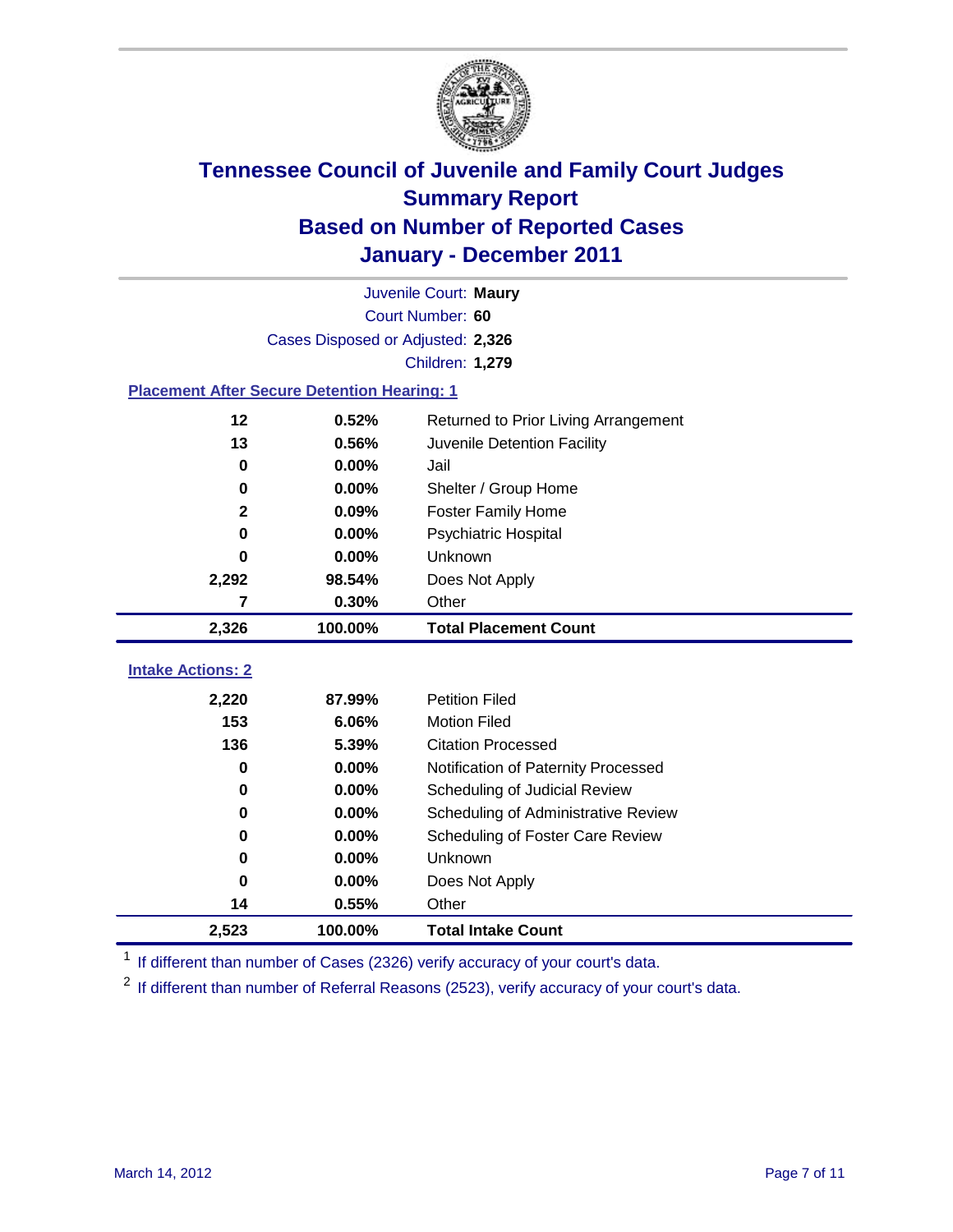

|                                                    | Juvenile Court: Maury             |                                      |  |  |  |
|----------------------------------------------------|-----------------------------------|--------------------------------------|--|--|--|
|                                                    | Court Number: 60                  |                                      |  |  |  |
|                                                    | Cases Disposed or Adjusted: 2,326 |                                      |  |  |  |
|                                                    |                                   | <b>Children: 1,279</b>               |  |  |  |
| <b>Placement After Secure Detention Hearing: 1</b> |                                   |                                      |  |  |  |
| 12                                                 | 0.52%                             | Returned to Prior Living Arrangement |  |  |  |
| 13                                                 | 0.56%                             | Juvenile Detention Facility          |  |  |  |
| 0                                                  | 0.00%                             | Jail                                 |  |  |  |
| $\bf{0}$                                           | 0.00%                             | Shelter / Group Home                 |  |  |  |
| $\mathbf{2}$                                       | 0.09%                             | <b>Foster Family Home</b>            |  |  |  |
| $\bf{0}$                                           | 0.00%                             | Psychiatric Hospital                 |  |  |  |
| 0                                                  | 0.00%                             | Unknown                              |  |  |  |
| 2,292                                              | 98.54%                            | Does Not Apply                       |  |  |  |
| 7                                                  | 0.30%                             | Other                                |  |  |  |
| 2,326                                              | 100.00%                           | <b>Total Placement Count</b>         |  |  |  |
| <b>Intake Actions: 2</b>                           |                                   |                                      |  |  |  |
|                                                    |                                   |                                      |  |  |  |
| 2,220                                              | 87.99%                            | <b>Petition Filed</b>                |  |  |  |
| 153                                                | 6.06%                             | <b>Motion Filed</b>                  |  |  |  |
| 136                                                | 5.39%                             | <b>Citation Processed</b>            |  |  |  |
| 0                                                  | 0.00%                             | Notification of Paternity Processed  |  |  |  |
| $\bf{0}$                                           | 0.00%                             | Scheduling of Judicial Review        |  |  |  |
| 0                                                  | 0.00%                             | Scheduling of Administrative Review  |  |  |  |
| 0                                                  | 0.00%                             | Scheduling of Foster Care Review     |  |  |  |
| $\bf{0}$                                           | 0.00%                             | Unknown                              |  |  |  |
| 0                                                  | 0.00%                             | Does Not Apply                       |  |  |  |
| 14                                                 | 0.55%                             | Other                                |  |  |  |
| 2,523                                              | 100.00%                           | <b>Total Intake Count</b>            |  |  |  |

<sup>1</sup> If different than number of Cases (2326) verify accuracy of your court's data.

<sup>2</sup> If different than number of Referral Reasons (2523), verify accuracy of your court's data.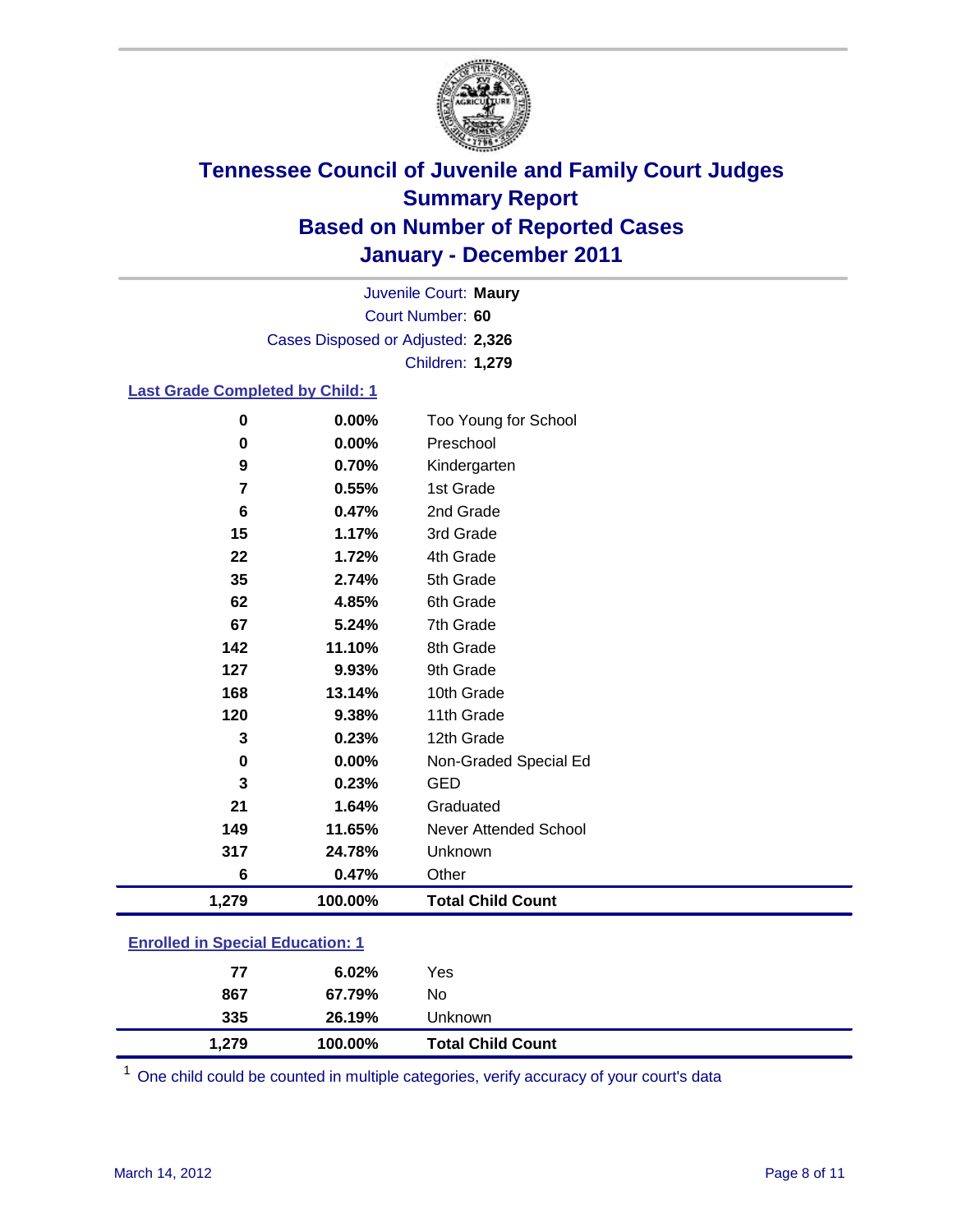

Court Number: **60** Juvenile Court: **Maury** Cases Disposed or Adjusted: **2,326** Children: **1,279**

### **Last Grade Completed by Child: 1**

| 0                                       | 0.00%   | Too Young for School         |  |
|-----------------------------------------|---------|------------------------------|--|
| 0                                       | 0.00%   | Preschool                    |  |
| 9                                       | 0.70%   | Kindergarten                 |  |
| $\overline{\mathbf{r}}$                 | 0.55%   | 1st Grade                    |  |
| $6\phantom{1}6$                         | 0.47%   | 2nd Grade                    |  |
| 15                                      | 1.17%   | 3rd Grade                    |  |
| 22                                      | 1.72%   | 4th Grade                    |  |
| 35                                      | 2.74%   | 5th Grade                    |  |
| 62                                      | 4.85%   | 6th Grade                    |  |
| 67                                      | 5.24%   | 7th Grade                    |  |
| 142                                     | 11.10%  | 8th Grade                    |  |
| 127                                     | 9.93%   | 9th Grade                    |  |
| 168                                     | 13.14%  | 10th Grade                   |  |
| 120                                     | 9.38%   | 11th Grade                   |  |
| 3                                       | 0.23%   | 12th Grade                   |  |
| $\mathbf 0$                             | 0.00%   | Non-Graded Special Ed        |  |
| 3                                       | 0.23%   | <b>GED</b>                   |  |
| 21                                      | 1.64%   | Graduated                    |  |
| 149                                     | 11.65%  | <b>Never Attended School</b> |  |
| 317                                     | 24.78%  | Unknown                      |  |
| 6                                       | 0.47%   | Other                        |  |
| 1,279                                   | 100.00% | <b>Total Child Count</b>     |  |
| <b>Enrolled in Special Education: 1</b> |         |                              |  |

One child could be counted in multiple categories, verify accuracy of your court's data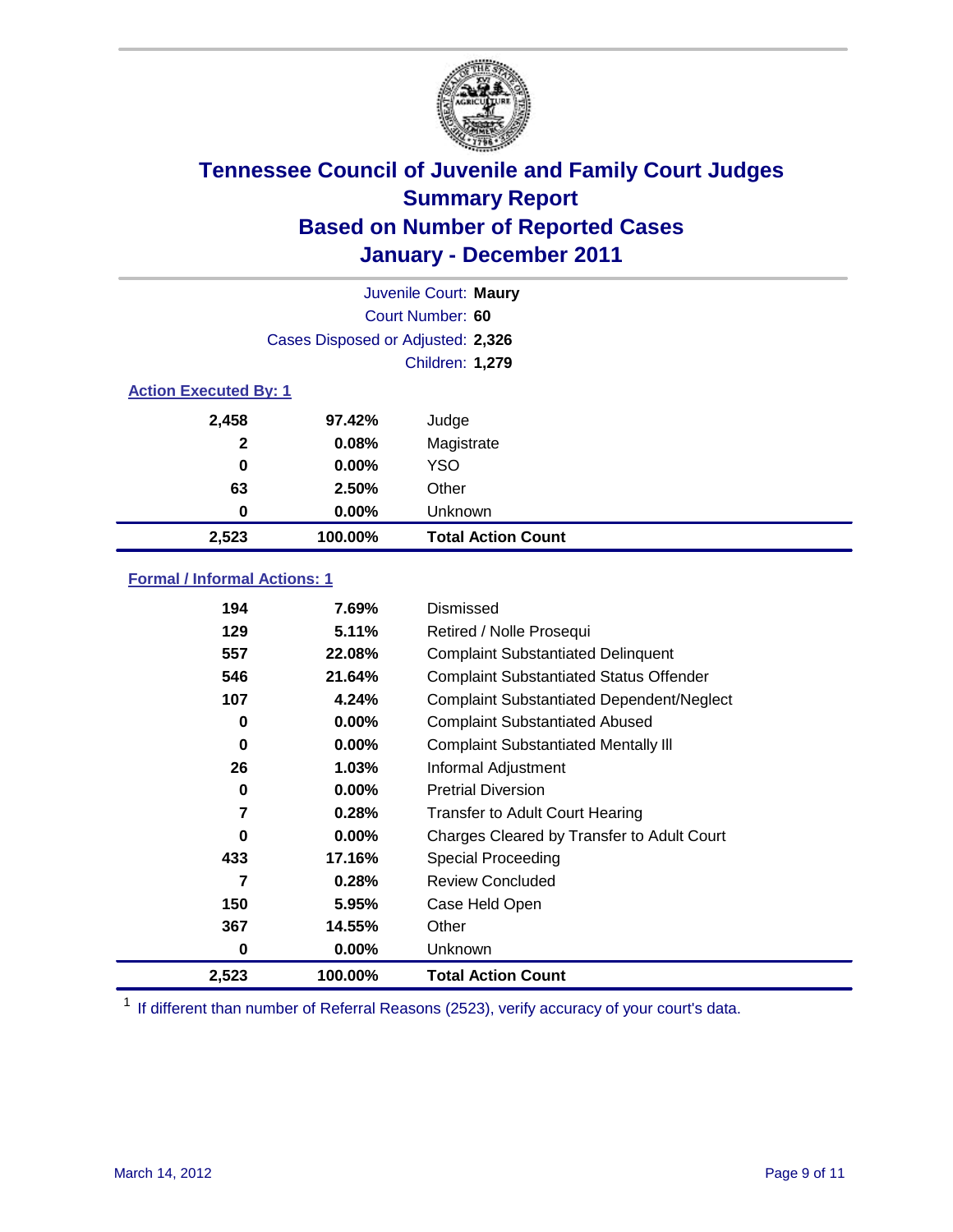![](_page_8_Picture_0.jpeg)

|                              | Juvenile Court: Maury             |                           |  |  |
|------------------------------|-----------------------------------|---------------------------|--|--|
|                              | Court Number: 60                  |                           |  |  |
|                              | Cases Disposed or Adjusted: 2,326 |                           |  |  |
|                              | Children: 1,279                   |                           |  |  |
| <b>Action Executed By: 1</b> |                                   |                           |  |  |
| 2,458                        | 97.42%                            | Judge                     |  |  |
| $\mathbf{2}$                 | 0.08%                             | Magistrate                |  |  |
| $\bf{0}$                     | $0.00\%$                          | <b>YSO</b>                |  |  |
| 63                           | 2.50%                             | Other                     |  |  |
| 0                            | 0.00%                             | Unknown                   |  |  |
| 2,523                        | 100.00%                           | <b>Total Action Count</b> |  |  |

### **Formal / Informal Actions: 1**

| 194   | 7.69%    | Dismissed                                        |
|-------|----------|--------------------------------------------------|
| 129   | 5.11%    | Retired / Nolle Prosequi                         |
| 557   | 22.08%   | <b>Complaint Substantiated Delinquent</b>        |
| 546   | 21.64%   | <b>Complaint Substantiated Status Offender</b>   |
| 107   | 4.24%    | <b>Complaint Substantiated Dependent/Neglect</b> |
| 0     | $0.00\%$ | <b>Complaint Substantiated Abused</b>            |
| 0     | $0.00\%$ | <b>Complaint Substantiated Mentally III</b>      |
| 26    | $1.03\%$ | Informal Adjustment                              |
| 0     | $0.00\%$ | <b>Pretrial Diversion</b>                        |
| 7     | 0.28%    | <b>Transfer to Adult Court Hearing</b>           |
| 0     | $0.00\%$ | Charges Cleared by Transfer to Adult Court       |
| 433   | 17.16%   | Special Proceeding                               |
| 7     | 0.28%    | <b>Review Concluded</b>                          |
| 150   | 5.95%    | Case Held Open                                   |
| 367   | 14.55%   | Other                                            |
| 0     | $0.00\%$ | <b>Unknown</b>                                   |
| 2,523 | 100.00%  | <b>Total Action Count</b>                        |

<sup>1</sup> If different than number of Referral Reasons (2523), verify accuracy of your court's data.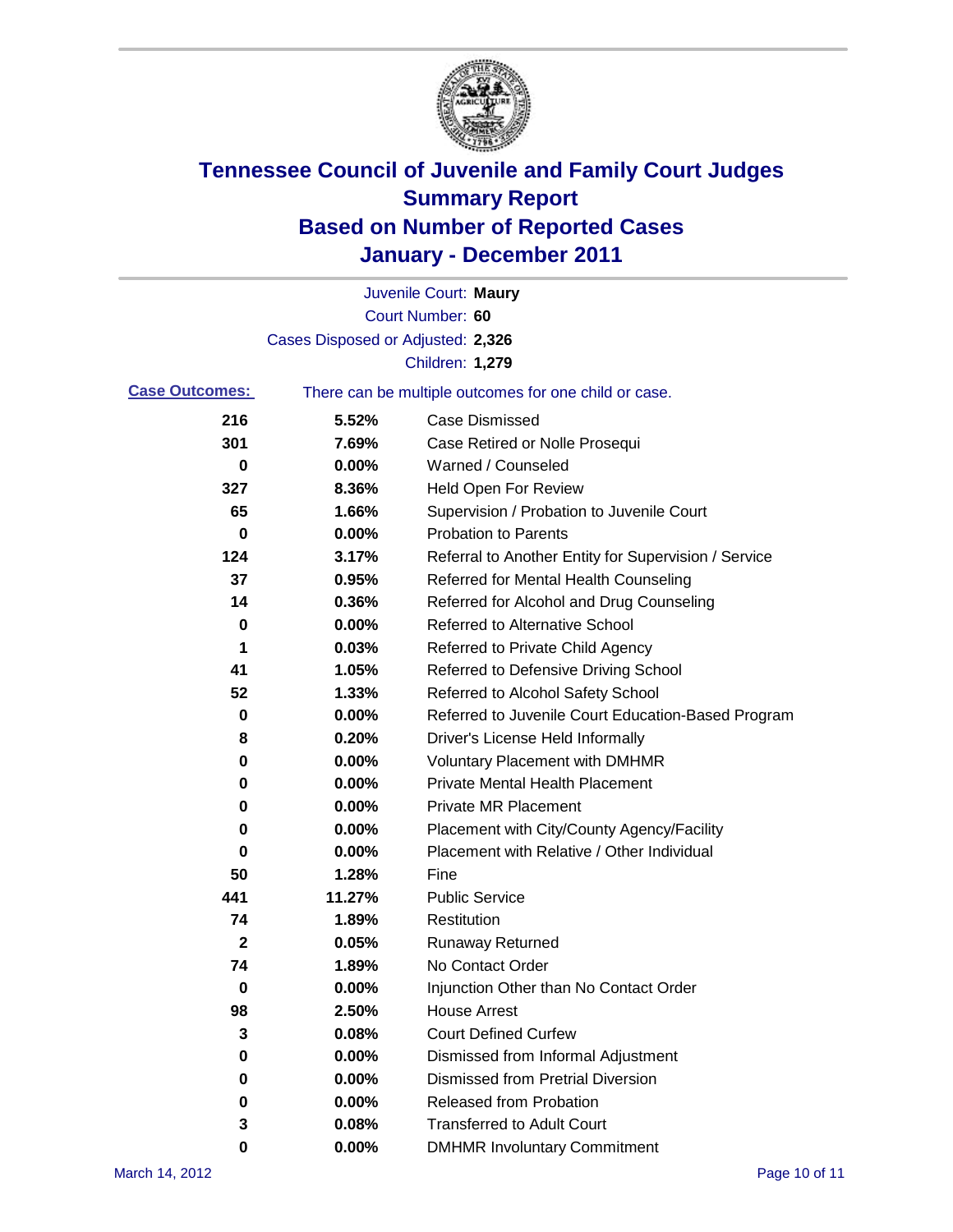![](_page_9_Picture_0.jpeg)

|                       |                                   | Juvenile Court: Maury                                 |
|-----------------------|-----------------------------------|-------------------------------------------------------|
|                       |                                   | Court Number: 60                                      |
|                       | Cases Disposed or Adjusted: 2,326 |                                                       |
|                       |                                   | Children: 1,279                                       |
| <b>Case Outcomes:</b> |                                   | There can be multiple outcomes for one child or case. |
| 216                   | 5.52%                             | <b>Case Dismissed</b>                                 |
| 301                   | 7.69%                             | Case Retired or Nolle Prosequi                        |
| 0                     | 0.00%                             | Warned / Counseled                                    |
| 327                   | 8.36%                             | <b>Held Open For Review</b>                           |
| 65                    | 1.66%                             | Supervision / Probation to Juvenile Court             |
| 0                     | 0.00%                             | <b>Probation to Parents</b>                           |
| 124                   | 3.17%                             | Referral to Another Entity for Supervision / Service  |
| 37                    | 0.95%                             | Referred for Mental Health Counseling                 |
| 14                    | 0.36%                             | Referred for Alcohol and Drug Counseling              |
| 0                     | 0.00%                             | <b>Referred to Alternative School</b>                 |
| 1                     | 0.03%                             | Referred to Private Child Agency                      |
| 41                    | 1.05%                             | Referred to Defensive Driving School                  |
| 52                    | 1.33%                             | Referred to Alcohol Safety School                     |
| 0                     | 0.00%                             | Referred to Juvenile Court Education-Based Program    |
| 8                     | 0.20%                             | Driver's License Held Informally                      |
| 0                     | 0.00%                             | <b>Voluntary Placement with DMHMR</b>                 |
| 0                     | 0.00%                             | <b>Private Mental Health Placement</b>                |
| 0                     | 0.00%                             | <b>Private MR Placement</b>                           |
| 0                     | 0.00%                             | Placement with City/County Agency/Facility            |
| 0                     | 0.00%                             | Placement with Relative / Other Individual            |
| 50                    | 1.28%                             | Fine                                                  |
| 441                   | 11.27%                            | <b>Public Service</b>                                 |
| 74                    | 1.89%                             | Restitution                                           |
| $\boldsymbol{2}$      | 0.05%                             | <b>Runaway Returned</b>                               |
| 74                    | 1.89%                             | No Contact Order                                      |
| 0                     | 0.00%                             | Injunction Other than No Contact Order                |
| 98                    | 2.50%                             | <b>House Arrest</b>                                   |
| 3                     | 0.08%                             | <b>Court Defined Curfew</b>                           |
| 0                     | 0.00%                             | Dismissed from Informal Adjustment                    |
| 0                     | 0.00%                             | <b>Dismissed from Pretrial Diversion</b>              |
| 0                     | 0.00%                             | Released from Probation                               |
| 3                     | 0.08%                             | <b>Transferred to Adult Court</b>                     |
| 0                     | $0.00\%$                          | <b>DMHMR Involuntary Commitment</b>                   |